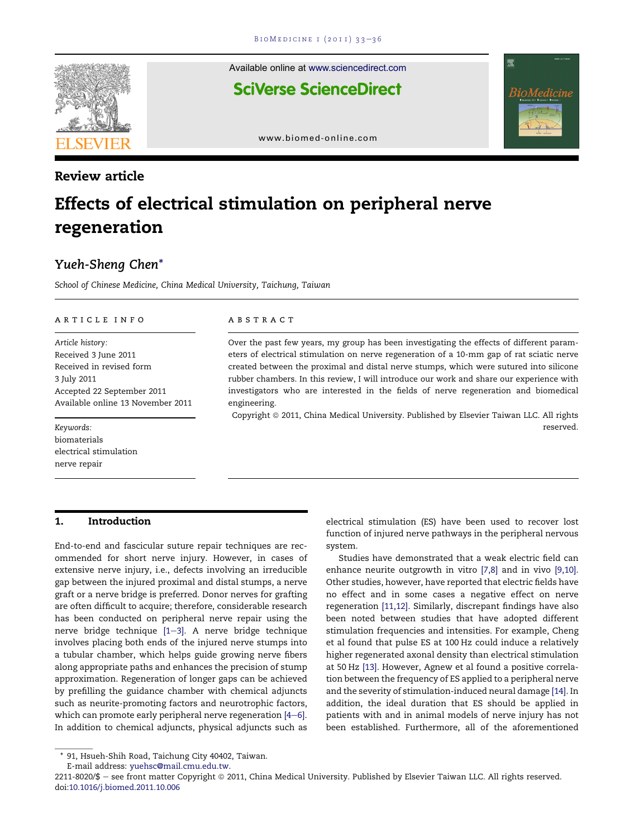

# Review article

Available online at [www.sciencedirect.com](www.sciencedirect.com/science/journal/22118020) **SciVerse ScienceDirect** 



[www.biomed-online.com](http://www.biomed-online.com)

# Effects of electrical stimulation on peripheral nerve regeneration

س کی ہے۔<br>School of Chinese Medicine, China Medical University, Taichung, Taiwan

#### article info

Article history: Received 3 June 2011 Received in revised form 3 July 2011 Accepted 22 September 2011 Available online 13 November 2011

Keywords: biomaterials electrical stimulation nerve repair

#### 1. Introduction

End-to-end and fascicular suture repair techniques are recommended for short nerve injury. However, in cases of extensive nerve injury, i.e., defects involving an irreducible gap between the injured proximal and distal stumps, a nerve graft or a nerve bridge is preferred. Donor nerves for grafting are often difficult to acquire; therefore, considerable research has been conducted on peripheral nerve repair using the nerve bridge technique  $[1-3]$  $[1-3]$  $[1-3]$ . A nerve bridge technique involves placing both ends of the injured nerve stumps into a tubular chamber, which helps guide growing nerve fibers along appropriate paths and enhances the precision of stump approximation. Regeneration of longer gaps can be achieved by prefilling the guidance chamber with chemical adjuncts such as neurite-promoting factors and neurotrophic factors, which can promote early peripheral nerve regeneration  $[4-6]$  $[4-6]$ . In addition to chemical adjuncts, physical adjuncts such as

#### **ABSTRACT**

Over the past few years, my group has been investigating the effects of different parameters of electrical stimulation on nerve regeneration of a 10-mm gap of rat sciatic nerve created between the proximal and distal nerve stumps, which were sutured into silicone rubber chambers. In this review, I will introduce our work and share our experience with investigators who are interested in the fields of nerve regeneration and biomedical engineering.

Copyright © 2011, China Medical University. Published by Elsevier Taiwan LLC. All rights reserved.

> electrical stimulation (ES) have been used to recover lost function of injured nerve pathways in the peripheral nervous system.

> Studies have demonstrated that a weak electric field can enhance neurite outgrowth in vitro [\[7,8\]](#page-2-0) and in vivo [\[9,10\].](#page-2-0) Other studies, however, have reported that electric fields have no effect and in some cases a negative effect on nerve regeneration [\[11,12\]](#page-3-0). Similarly, discrepant findings have also been noted between studies that have adopted different stimulation frequencies and intensities. For example, Cheng et al found that pulse ES at 100 Hz could induce a relatively higher regenerated axonal density than electrical stimulation at 50 Hz [\[13\]](#page-3-0). However, Agnew et al found a positive correlation between the frequency of ES applied to a peripheral nerve and the severity of stimulation-induced neural damage [\[14\]](#page-3-0). In addition, the ideal duration that ES should be applied in patients with and in animal models of nerve injury has not been established. Furthermore, all of the aforementioned

<sup>\* 91,</sup> Hsueh-Shih Road, Taichung City 40402, Taiwan.

E-mail address: [yuehsc@mail.cmu.edu.tw.](mailto:yuehsc@mail.cmu.edu.tw)

<sup>2211-8020/\$ -</sup> see front matter Copyright @ 2011, China Medical University. Published by Elsevier Taiwan LLC. All rights reserved. doi[:10.1016/j.biomed.2011.10.006](http://dx.doi.org/10.1016/j.biomed.2011.10.006)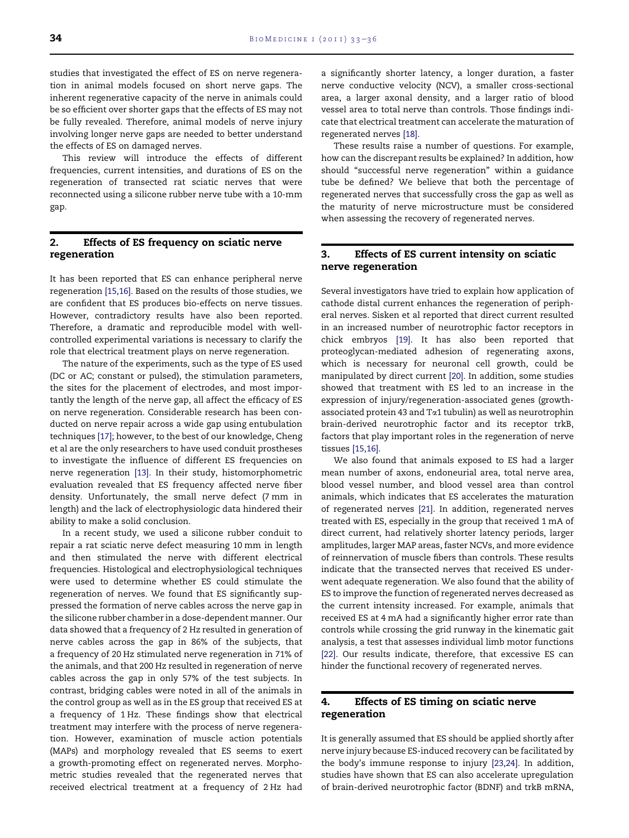studies that investigated the effect of ES on nerve regeneration in animal models focused on short nerve gaps. The inherent regenerative capacity of the nerve in animals could be so efficient over shorter gaps that the effects of ES may not be fully revealed. Therefore, animal models of nerve injury involving longer nerve gaps are needed to better understand the effects of ES on damaged nerves.

This review will introduce the effects of different frequencies, current intensities, and durations of ES on the regeneration of transected rat sciatic nerves that were reconnected using a silicone rubber nerve tube with a 10-mm gap.

# 2. Effects of ES frequency on sciatic nerve regeneration

It has been reported that ES can enhance peripheral nerve regeneration [\[15,16\].](#page-3-0) Based on the results of those studies, we are confident that ES produces bio-effects on nerve tissues. However, contradictory results have also been reported. Therefore, a dramatic and reproducible model with wellcontrolled experimental variations is necessary to clarify the role that electrical treatment plays on nerve regeneration.

The nature of the experiments, such as the type of ES used (DC or AC; constant or pulsed), the stimulation parameters, the sites for the placement of electrodes, and most importantly the length of the nerve gap, all affect the efficacy of ES on nerve regeneration. Considerable research has been conducted on nerve repair across a wide gap using entubulation techniques [\[17\]](#page-3-0); however, to the best of our knowledge, Cheng et al are the only researchers to have used conduit prostheses to investigate the influence of different ES frequencies on nerve regeneration [\[13\]](#page-3-0). In their study, histomorphometric evaluation revealed that ES frequency affected nerve fiber density. Unfortunately, the small nerve defect (7 mm in length) and the lack of electrophysiologic data hindered their ability to make a solid conclusion.

In a recent study, we used a silicone rubber conduit to repair a rat sciatic nerve defect measuring 10 mm in length and then stimulated the nerve with different electrical frequencies. Histological and electrophysiological techniques were used to determine whether ES could stimulate the regeneration of nerves. We found that ES significantly suppressed the formation of nerve cables across the nerve gap in the silicone rubber chamber in a dose-dependent manner. Our data showed that a frequency of 2 Hz resulted in generation of nerve cables across the gap in 86% of the subjects, that a frequency of 20 Hz stimulated nerve regeneration in 71% of the animals, and that 200 Hz resulted in regeneration of nerve cables across the gap in only 57% of the test subjects. In contrast, bridging cables were noted in all of the animals in the control group as well as in the ES group that received ES at a frequency of 1 Hz. These findings show that electrical treatment may interfere with the process of nerve regeneration. However, examination of muscle action potentials (MAPs) and morphology revealed that ES seems to exert a growth-promoting effect on regenerated nerves. Morphometric studies revealed that the regenerated nerves that received electrical treatment at a frequency of 2 Hz had

a significantly shorter latency, a longer duration, a faster nerve conductive velocity (NCV), a smaller cross-sectional area, a larger axonal density, and a larger ratio of blood vessel area to total nerve than controls. Those findings indicate that electrical treatment can accelerate the maturation of regenerated nerves [\[18\]](#page-3-0).

These results raise a number of questions. For example, how can the discrepant results be explained? In addition, how should "successful nerve regeneration" within a guidance tube be defined? We believe that both the percentage of regenerated nerves that successfully cross the gap as well as the maturity of nerve microstructure must be considered when assessing the recovery of regenerated nerves.

# 3. Effects of ES current intensity on sciatic nerve regeneration

Several investigators have tried to explain how application of cathode distal current enhances the regeneration of peripheral nerves. Sisken et al reported that direct current resulted in an increased number of neurotrophic factor receptors in chick embryos [\[19\].](#page-3-0) It has also been reported that proteoglycan-mediated adhesion of regenerating axons, which is necessary for neuronal cell growth, could be manipulated by direct current [\[20\].](#page-3-0) In addition, some studies showed that treatment with ES led to an increase in the expression of injury/regeneration-associated genes (growthassociated protein 43 and  $Ta1$  tubulin) as well as neurotrophin brain-derived neurotrophic factor and its receptor trkB, factors that play important roles in the regeneration of nerve tissues [\[15,16\]](#page-3-0).

We also found that animals exposed to ES had a larger mean number of axons, endoneurial area, total nerve area, blood vessel number, and blood vessel area than control animals, which indicates that ES accelerates the maturation of regenerated nerves [\[21\]](#page-3-0). In addition, regenerated nerves treated with ES, especially in the group that received 1 mA of direct current, had relatively shorter latency periods, larger amplitudes, larger MAP areas, faster NCVs, and more evidence of reinnervation of muscle fibers than controls. These results indicate that the transected nerves that received ES underwent adequate regeneration. We also found that the ability of ES to improve the function of regenerated nerves decreased as the current intensity increased. For example, animals that received ES at 4 mA had a significantly higher error rate than controls while crossing the grid runway in the kinematic gait analysis, a test that assesses individual limb motor functions [\[22\]](#page-3-0). Our results indicate, therefore, that excessive ES can hinder the functional recovery of regenerated nerves.

# 4. Effects of ES timing on sciatic nerve regeneration

It is generally assumed that ES should be applied shortly after nerve injury because ES-induced recovery can be facilitated by the body's immune response to injury [\[23,24\]](#page-3-0). In addition, studies have shown that ES can also accelerate upregulation of brain-derived neurotrophic factor (BDNF) and trkB mRNA,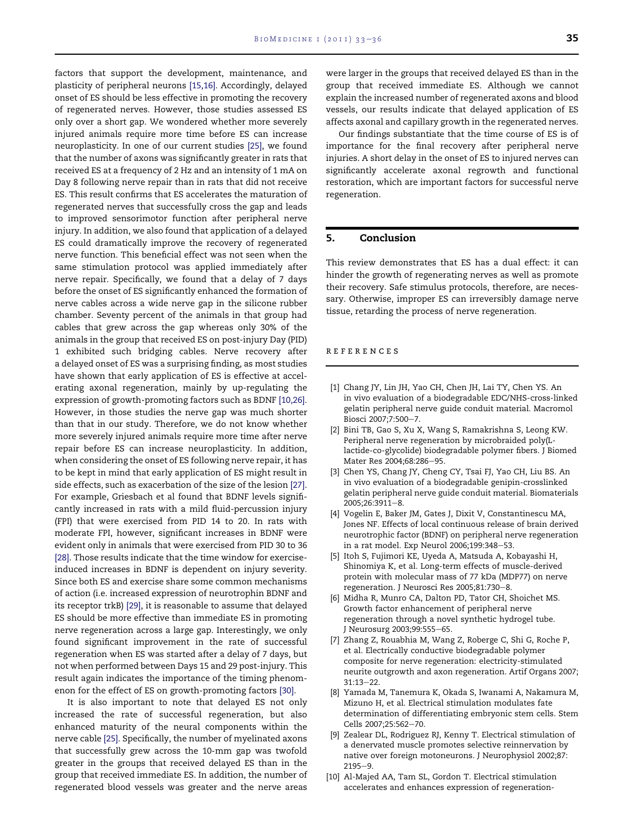<span id="page-2-0"></span>factors that support the development, maintenance, and plasticity of peripheral neurons [\[15,16\]](#page-3-0). Accordingly, delayed onset of ES should be less effective in promoting the recovery of regenerated nerves. However, those studies assessed ES only over a short gap. We wondered whether more severely injured animals require more time before ES can increase neuroplasticity. In one of our current studies [\[25\]](#page-3-0), we found that the number of axons was significantly greater in rats that received ES at a frequency of 2 Hz and an intensity of 1 mA on Day 8 following nerve repair than in rats that did not receive ES. This result confirms that ES accelerates the maturation of regenerated nerves that successfully cross the gap and leads to improved sensorimotor function after peripheral nerve injury. In addition, we also found that application of a delayed ES could dramatically improve the recovery of regenerated nerve function. This beneficial effect was not seen when the same stimulation protocol was applied immediately after nerve repair. Specifically, we found that a delay of 7 days before the onset of ES significantly enhanced the formation of nerve cables across a wide nerve gap in the silicone rubber chamber. Seventy percent of the animals in that group had cables that grew across the gap whereas only 30% of the animals in the group that received ES on post-injury Day (PID) 1 exhibited such bridging cables. Nerve recovery after a delayed onset of ES was a surprising finding, as most studies have shown that early application of ES is effective at accelerating axonal regeneration, mainly by up-regulating the expression of growth-promoting factors such as BDNF [10,26]. However, in those studies the nerve gap was much shorter than that in our study. Therefore, we do not know whether more severely injured animals require more time after nerve repair before ES can increase neuroplasticity. In addition, when considering the onset of ES following nerve repair, it has to be kept in mind that early application of ES might result in side effects, such as exacerbation of the size of the lesion [\[27\].](#page-3-0) For example, Griesbach et al found that BDNF levels significantly increased in rats with a mild fluid-percussion injury (FPI) that were exercised from PID 14 to 20. In rats with moderate FPI, however, significant increases in BDNF were evident only in animals that were exercised from PID 30 to 36 [\[28\].](#page-3-0) Those results indicate that the time window for exerciseinduced increases in BDNF is dependent on injury severity. Since both ES and exercise share some common mechanisms of action (i.e. increased expression of neurotrophin BDNF and its receptor trkB) [\[29\]](#page-3-0), it is reasonable to assume that delayed ES should be more effective than immediate ES in promoting nerve regeneration across a large gap. Interestingly, we only found significant improvement in the rate of successful regeneration when ES was started after a delay of 7 days, but not when performed between Days 15 and 29 post-injury. This result again indicates the importance of the timing phenomenon for the effect of ES on growth-promoting factors [\[30\]](#page-3-0).

It is also important to note that delayed ES not only increased the rate of successful regeneration, but also enhanced maturity of the neural components within the nerve cable [\[25\].](#page-3-0) Specifically, the number of myelinated axons that successfully grew across the 10-mm gap was twofold greater in the groups that received delayed ES than in the group that received immediate ES. In addition, the number of regenerated blood vessels was greater and the nerve areas

were larger in the groups that received delayed ES than in the group that received immediate ES. Although we cannot explain the increased number of regenerated axons and blood vessels, our results indicate that delayed application of ES affects axonal and capillary growth in the regenerated nerves.

Our findings substantiate that the time course of ES is of importance for the final recovery after peripheral nerve injuries. A short delay in the onset of ES to injured nerves can significantly accelerate axonal regrowth and functional restoration, which are important factors for successful nerve regeneration.

## 5. Conclusion

This review demonstrates that ES has a dual effect: it can hinder the growth of regenerating nerves as well as promote their recovery. Safe stimulus protocols, therefore, are necessary. Otherwise, improper ES can irreversibly damage nerve tissue, retarding the process of nerve regeneration.

#### references

- [1] Chang JY, Lin JH, Yao CH, Chen JH, Lai TY, Chen YS. An in vivo evaluation of a biodegradable EDC/NHS-cross-linked gelatin peripheral nerve guide conduit material. Macromol Biosci 2007;7:500-7.
- [2] Bini TB, Gao S, Xu X, Wang S, Ramakrishna S, Leong KW. Peripheral nerve regeneration by microbraided poly(Llactide-co-glycolide) biodegradable polymer fibers. J Biomed Mater Res 2004;68:286-95.
- [3] Chen YS, Chang JY, Cheng CY, Tsai FJ, Yao CH, Liu BS. An in vivo evaluation of a biodegradable genipin-crosslinked gelatin peripheral nerve guide conduit material. Biomaterials  $2005:26:3911 - 8$
- [4] Vogelin E, Baker JM, Gates J, Dixit V, Constantinescu MA, Jones NF. Effects of local continuous release of brain derived neurotrophic factor (BDNF) on peripheral nerve regeneration in a rat model. Exp Neurol 2006;199:348-53.
- [5] Itoh S, Fujimori KE, Uyeda A, Matsuda A, Kobayashi H, Shinomiya K, et al. Long-term effects of muscle-derived protein with molecular mass of 77 kDa (MDP77) on nerve regeneration. J Neurosci Res 2005;81:730-8.
- [6] Midha R, Munro CA, Dalton PD, Tator CH, Shoichet MS. Growth factor enhancement of peripheral nerve regeneration through a novel synthetic hydrogel tube. J Neurosurg 2003;99:555-65.
- [7] Zhang Z, Rouabhia M, Wang Z, Roberge C, Shi G, Roche P, et al. Electrically conductive biodegradable polymer composite for nerve regeneration: electricity-stimulated neurite outgrowth and axon regeneration. Artif Organs 2007;  $31:13 - 22.$
- [8] Yamada M, Tanemura K, Okada S, Iwanami A, Nakamura M, Mizuno H, et al. Electrical stimulation modulates fate determination of differentiating embryonic stem cells. Stem Cells 2007;25:562-70.
- [9] Zealear DL, Rodriguez RJ, Kenny T. Electrical stimulation of a denervated muscle promotes selective reinnervation by native over foreign motoneurons. J Neurophysiol 2002;87:  $2195 - 9.$
- [10] Al-Majed AA, Tam SL, Gordon T. Electrical stimulation accelerates and enhances expression of regeneration-